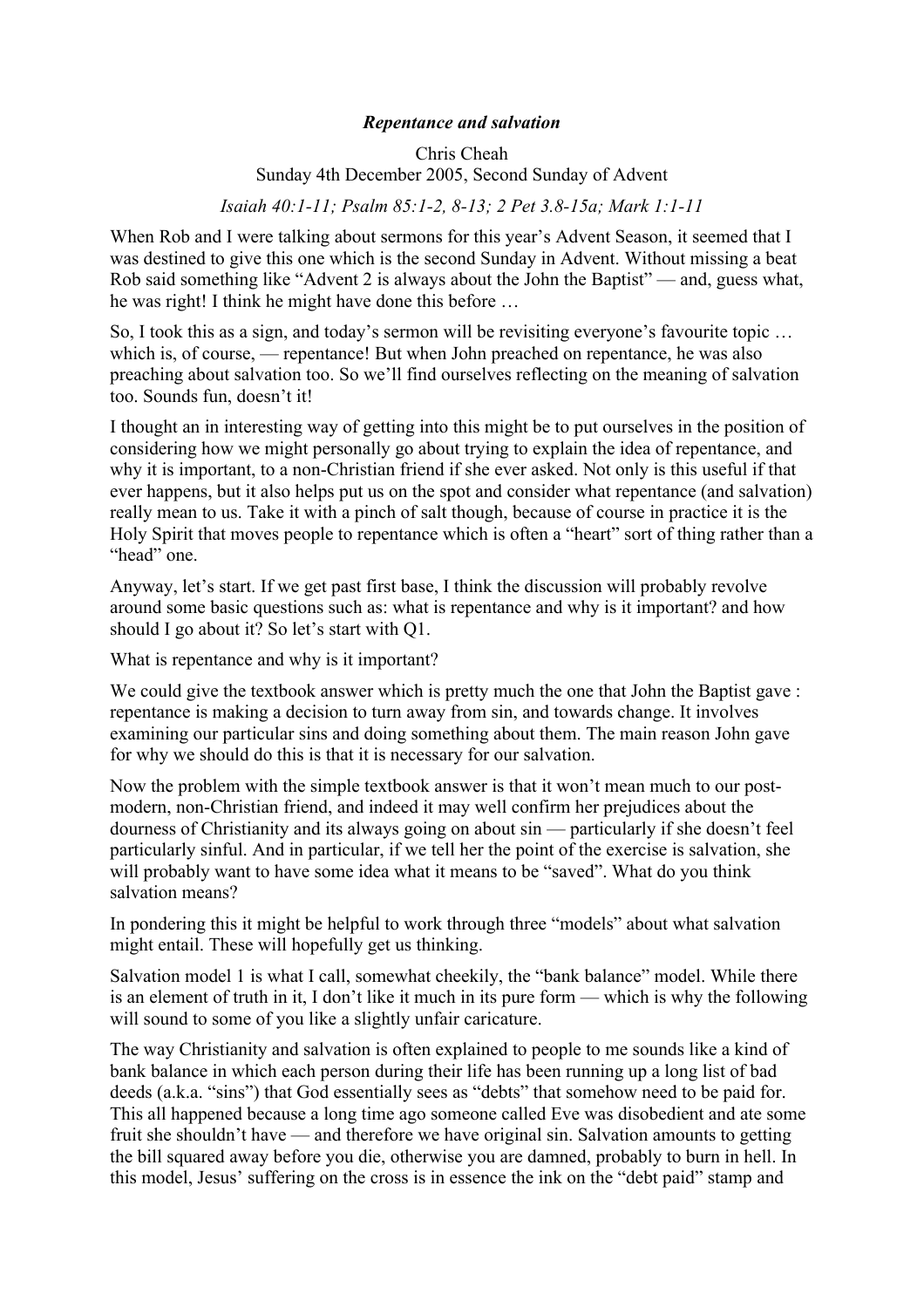## *Repentance and salvation*

## Chris Cheah Sunday 4th December 2005, Second Sunday of Advent

*Isaiah 40:1-11; Psalm 85:1-2, 8-13; 2 Pet 3.8-15a; Mark 1:1-11*

When Rob and I were talking about sermons for this year's Advent Season, it seemed that I was destined to give this one which is the second Sunday in Advent. Without missing a beat Rob said something like "Advent 2 is always about the John the Baptist" — and, guess what, he was right! I think he might have done this before …

So, I took this as a sign, and today's sermon will be revisiting everyone's favourite topic … which is, of course, — repentance! But when John preached on repentance, he was also preaching about salvation too. So we'll find ourselves reflecting on the meaning of salvation too. Sounds fun, doesn't it!

I thought an in interesting way of getting into this might be to put ourselves in the position of considering how we might personally go about trying to explain the idea of repentance, and why it is important, to a non-Christian friend if she ever asked. Not only is this useful if that ever happens, but it also helps put us on the spot and consider what repentance (and salvation) really mean to us. Take it with a pinch of salt though, because of course in practice it is the Holy Spirit that moves people to repentance which is often a "heart" sort of thing rather than a "head" one.

Anyway, let's start. If we get past first base, I think the discussion will probably revolve around some basic questions such as: what is repentance and why is it important? and how should I go about it? So let's start with Q1.

What is repentance and why is it important?

We could give the textbook answer which is pretty much the one that John the Baptist gave : repentance is making a decision to turn away from sin, and towards change. It involves examining our particular sins and doing something about them. The main reason John gave for why we should do this is that it is necessary for our salvation.

Now the problem with the simple textbook answer is that it won't mean much to our postmodern, non-Christian friend, and indeed it may well confirm her prejudices about the dourness of Christianity and its always going on about sin — particularly if she doesn't feel particularly sinful. And in particular, if we tell her the point of the exercise is salvation, she will probably want to have some idea what it means to be "saved". What do you think salvation means?

In pondering this it might be helpful to work through three "models" about what salvation might entail. These will hopefully get us thinking.

Salvation model 1 is what I call, somewhat cheekily, the "bank balance" model. While there is an element of truth in it, I don't like it much in its pure form — which is why the following will sound to some of you like a slightly unfair caricature.

The way Christianity and salvation is often explained to people to me sounds like a kind of bank balance in which each person during their life has been running up a long list of bad deeds (a.k.a. "sins") that God essentially sees as "debts" that somehow need to be paid for. This all happened because a long time ago someone called Eve was disobedient and ate some fruit she shouldn't have — and therefore we have original sin. Salvation amounts to getting the bill squared away before you die, otherwise you are damned, probably to burn in hell. In this model, Jesus' suffering on the cross is in essence the ink on the "debt paid" stamp and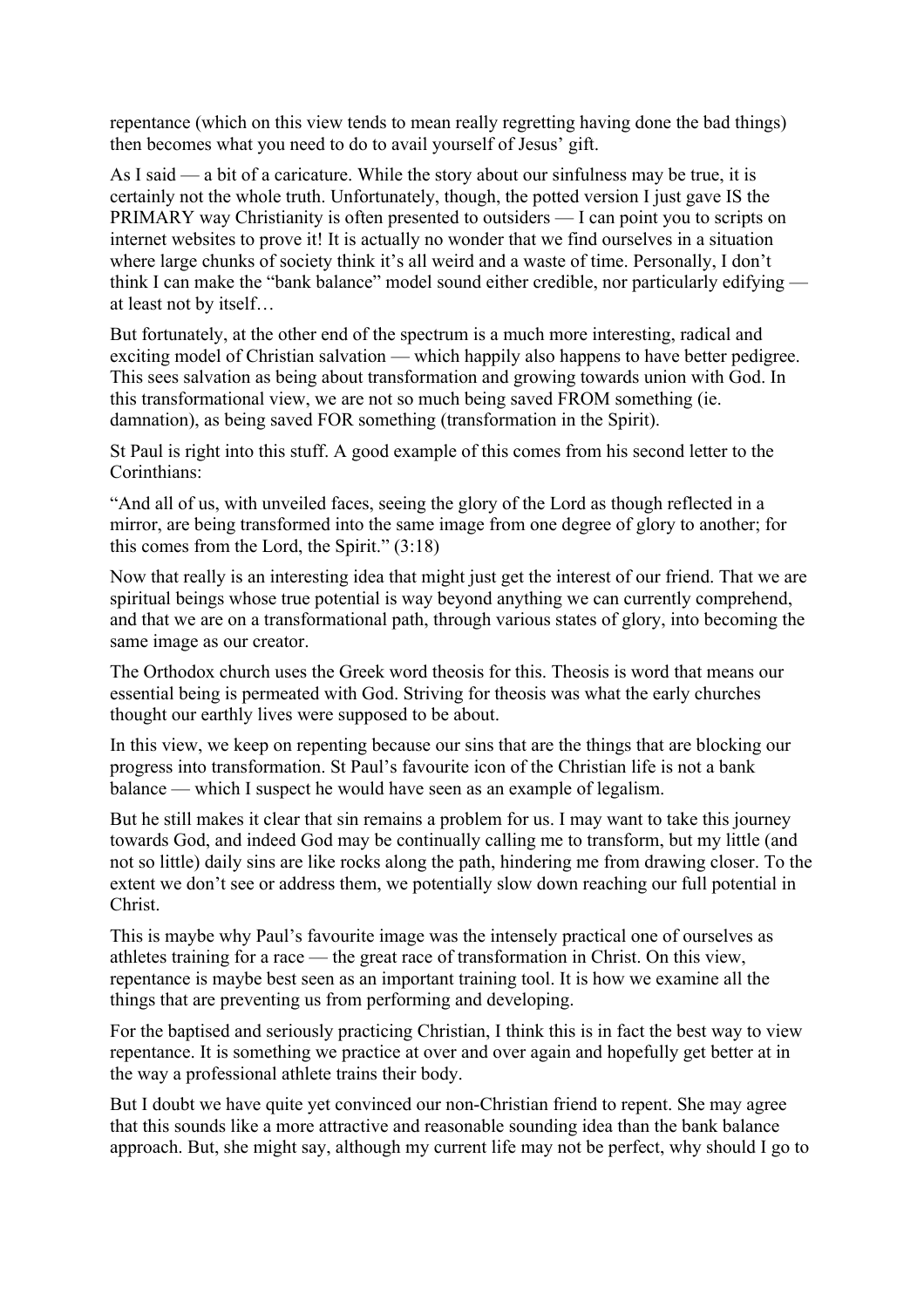repentance (which on this view tends to mean really regretting having done the bad things) then becomes what you need to do to avail yourself of Jesus' gift.

As I said — a bit of a caricature. While the story about our sinfulness may be true, it is certainly not the whole truth. Unfortunately, though, the potted version I just gave IS the PRIMARY way Christianity is often presented to outsiders — I can point you to scripts on internet websites to prove it! It is actually no wonder that we find ourselves in a situation where large chunks of society think it's all weird and a waste of time. Personally, I don't think I can make the "bank balance" model sound either credible, nor particularly edifying at least not by itself…

But fortunately, at the other end of the spectrum is a much more interesting, radical and exciting model of Christian salvation — which happily also happens to have better pedigree. This sees salvation as being about transformation and growing towards union with God. In this transformational view, we are not so much being saved FROM something (ie. damnation), as being saved FOR something (transformation in the Spirit).

St Paul is right into this stuff. A good example of this comes from his second letter to the Corinthians:

"And all of us, with unveiled faces, seeing the glory of the Lord as though reflected in a mirror, are being transformed into the same image from one degree of glory to another; for this comes from the Lord, the Spirit." (3:18)

Now that really is an interesting idea that might just get the interest of our friend. That we are spiritual beings whose true potential is way beyond anything we can currently comprehend, and that we are on a transformational path, through various states of glory, into becoming the same image as our creator.

The Orthodox church uses the Greek word theosis for this. Theosis is word that means our essential being is permeated with God. Striving for theosis was what the early churches thought our earthly lives were supposed to be about.

In this view, we keep on repenting because our sins that are the things that are blocking our progress into transformation. St Paul's favourite icon of the Christian life is not a bank balance — which I suspect he would have seen as an example of legalism.

But he still makes it clear that sin remains a problem for us. I may want to take this journey towards God, and indeed God may be continually calling me to transform, but my little (and not so little) daily sins are like rocks along the path, hindering me from drawing closer. To the extent we don't see or address them, we potentially slow down reaching our full potential in Christ.

This is maybe why Paul's favourite image was the intensely practical one of ourselves as athletes training for a race — the great race of transformation in Christ. On this view, repentance is maybe best seen as an important training tool. It is how we examine all the things that are preventing us from performing and developing.

For the baptised and seriously practicing Christian, I think this is in fact the best way to view repentance. It is something we practice at over and over again and hopefully get better at in the way a professional athlete trains their body.

But I doubt we have quite yet convinced our non-Christian friend to repent. She may agree that this sounds like a more attractive and reasonable sounding idea than the bank balance approach. But, she might say, although my current life may not be perfect, why should I go to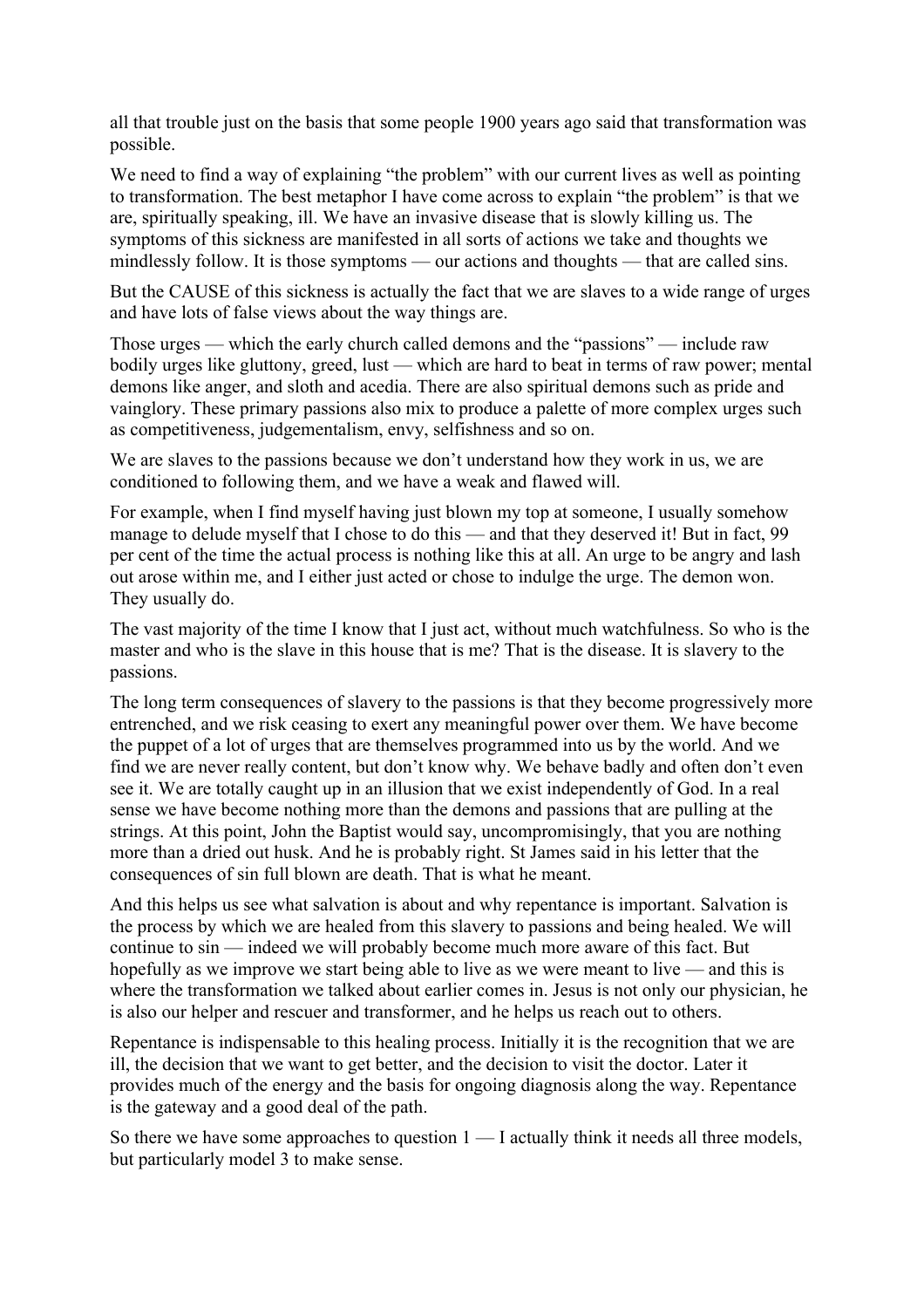all that trouble just on the basis that some people 1900 years ago said that transformation was possible.

We need to find a way of explaining "the problem" with our current lives as well as pointing to transformation. The best metaphor I have come across to explain "the problem" is that we are, spiritually speaking, ill. We have an invasive disease that is slowly killing us. The symptoms of this sickness are manifested in all sorts of actions we take and thoughts we mindlessly follow. It is those symptoms — our actions and thoughts — that are called sins.

But the CAUSE of this sickness is actually the fact that we are slaves to a wide range of urges and have lots of false views about the way things are.

Those urges — which the early church called demons and the "passions" — include raw bodily urges like gluttony, greed, lust — which are hard to beat in terms of raw power; mental demons like anger, and sloth and acedia. There are also spiritual demons such as pride and vainglory. These primary passions also mix to produce a palette of more complex urges such as competitiveness, judgementalism, envy, selfishness and so on.

We are slaves to the passions because we don't understand how they work in us, we are conditioned to following them, and we have a weak and flawed will.

For example, when I find myself having just blown my top at someone, I usually somehow manage to delude myself that I chose to do this — and that they deserved it! But in fact, 99 per cent of the time the actual process is nothing like this at all. An urge to be angry and lash out arose within me, and I either just acted or chose to indulge the urge. The demon won. They usually do.

The vast majority of the time I know that I just act, without much watchfulness. So who is the master and who is the slave in this house that is me? That is the disease. It is slavery to the passions.

The long term consequences of slavery to the passions is that they become progressively more entrenched, and we risk ceasing to exert any meaningful power over them. We have become the puppet of a lot of urges that are themselves programmed into us by the world. And we find we are never really content, but don't know why. We behave badly and often don't even see it. We are totally caught up in an illusion that we exist independently of God. In a real sense we have become nothing more than the demons and passions that are pulling at the strings. At this point, John the Baptist would say, uncompromisingly, that you are nothing more than a dried out husk. And he is probably right. St James said in his letter that the consequences of sin full blown are death. That is what he meant.

And this helps us see what salvation is about and why repentance is important. Salvation is the process by which we are healed from this slavery to passions and being healed. We will continue to sin — indeed we will probably become much more aware of this fact. But hopefully as we improve we start being able to live as we were meant to live — and this is where the transformation we talked about earlier comes in. Jesus is not only our physician, he is also our helper and rescuer and transformer, and he helps us reach out to others.

Repentance is indispensable to this healing process. Initially it is the recognition that we are ill, the decision that we want to get better, and the decision to visit the doctor. Later it provides much of the energy and the basis for ongoing diagnosis along the way. Repentance is the gateway and a good deal of the path.

So there we have some approaches to question  $1 - I$  actually think it needs all three models, but particularly model 3 to make sense.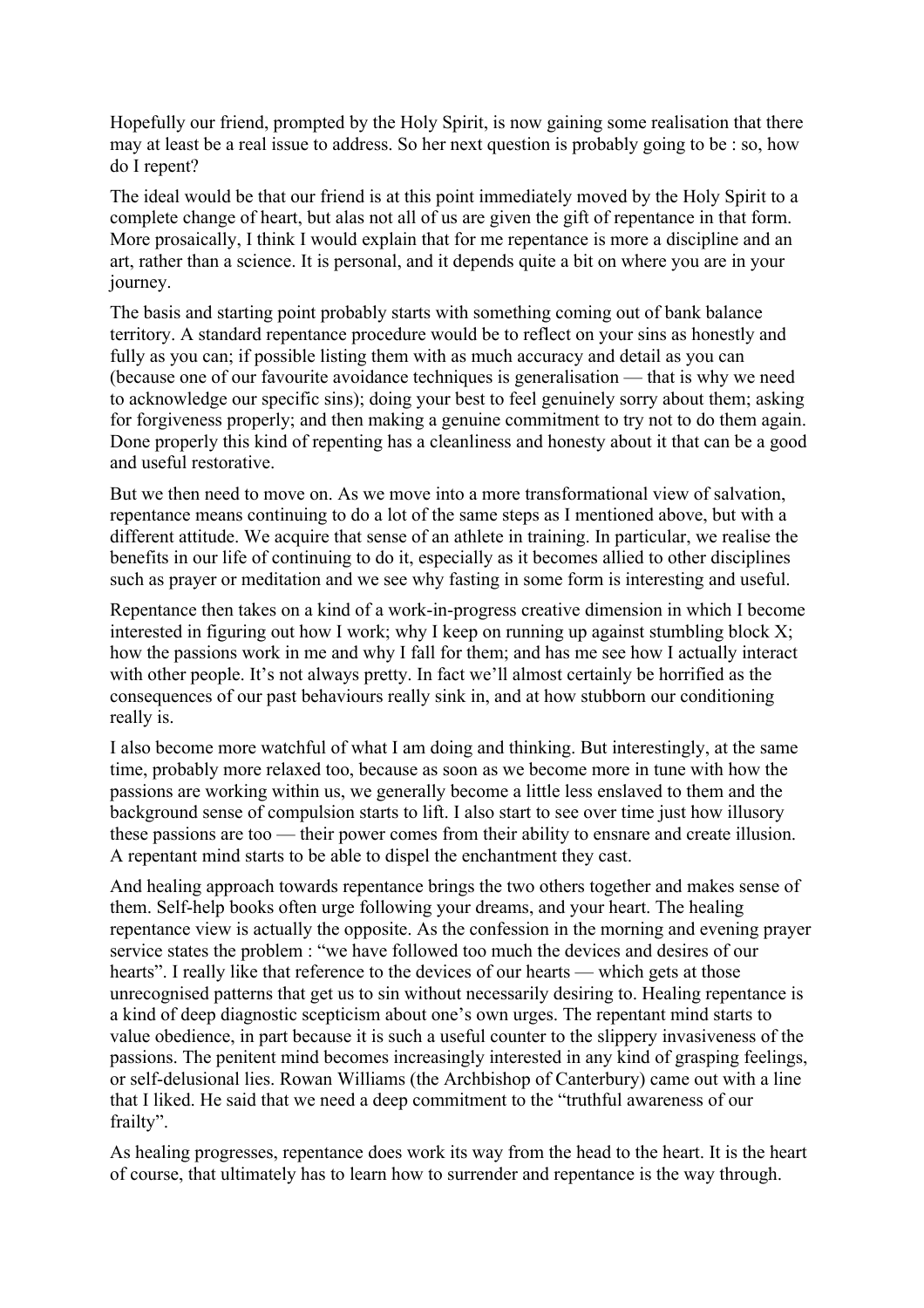Hopefully our friend, prompted by the Holy Spirit, is now gaining some realisation that there may at least be a real issue to address. So her next question is probably going to be : so, how do I repent?

The ideal would be that our friend is at this point immediately moved by the Holy Spirit to a complete change of heart, but alas not all of us are given the gift of repentance in that form. More prosaically, I think I would explain that for me repentance is more a discipline and an art, rather than a science. It is personal, and it depends quite a bit on where you are in your journey.

The basis and starting point probably starts with something coming out of bank balance territory. A standard repentance procedure would be to reflect on your sins as honestly and fully as you can; if possible listing them with as much accuracy and detail as you can (because one of our favourite avoidance techniques is generalisation — that is why we need to acknowledge our specific sins); doing your best to feel genuinely sorry about them; asking for forgiveness properly; and then making a genuine commitment to try not to do them again. Done properly this kind of repenting has a cleanliness and honesty about it that can be a good and useful restorative.

But we then need to move on. As we move into a more transformational view of salvation, repentance means continuing to do a lot of the same steps as I mentioned above, but with a different attitude. We acquire that sense of an athlete in training. In particular, we realise the benefits in our life of continuing to do it, especially as it becomes allied to other disciplines such as prayer or meditation and we see why fasting in some form is interesting and useful.

Repentance then takes on a kind of a work-in-progress creative dimension in which I become interested in figuring out how I work; why I keep on running up against stumbling block X; how the passions work in me and why I fall for them; and has me see how I actually interact with other people. It's not always pretty. In fact we'll almost certainly be horrified as the consequences of our past behaviours really sink in, and at how stubborn our conditioning really is.

I also become more watchful of what I am doing and thinking. But interestingly, at the same time, probably more relaxed too, because as soon as we become more in tune with how the passions are working within us, we generally become a little less enslaved to them and the background sense of compulsion starts to lift. I also start to see over time just how illusory these passions are too — their power comes from their ability to ensnare and create illusion. A repentant mind starts to be able to dispel the enchantment they cast.

And healing approach towards repentance brings the two others together and makes sense of them. Self-help books often urge following your dreams, and your heart. The healing repentance view is actually the opposite. As the confession in the morning and evening prayer service states the problem : "we have followed too much the devices and desires of our hearts". I really like that reference to the devices of our hearts — which gets at those unrecognised patterns that get us to sin without necessarily desiring to. Healing repentance is a kind of deep diagnostic scepticism about one's own urges. The repentant mind starts to value obedience, in part because it is such a useful counter to the slippery invasiveness of the passions. The penitent mind becomes increasingly interested in any kind of grasping feelings, or self-delusional lies. Rowan Williams (the Archbishop of Canterbury) came out with a line that I liked. He said that we need a deep commitment to the "truthful awareness of our frailty".

As healing progresses, repentance does work its way from the head to the heart. It is the heart of course, that ultimately has to learn how to surrender and repentance is the way through.